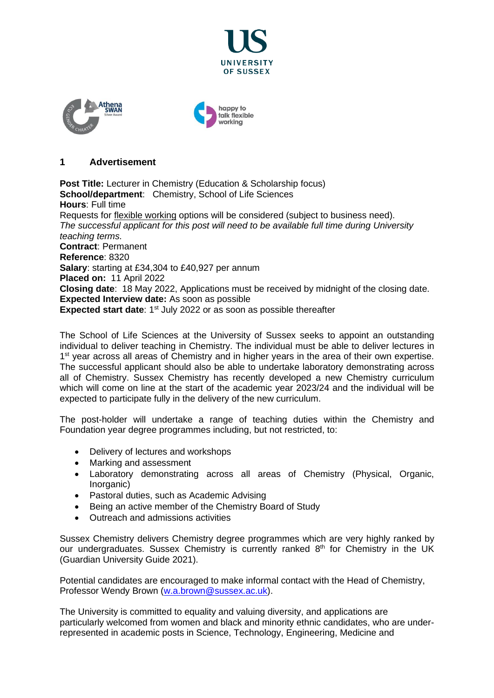



### **1 Advertisement**

**Post Title:** Lecturer in Chemistry (Education & Scholarship focus) **School/department**: Chemistry, School of Life Sciences **Hours**: Full time Requests for [flexible working](http://www.sussex.ac.uk/humanresources/personnel/flexible-working) options will be considered (subject to business need). *The successful applicant for this post will need to be available full time during University teaching terms.* **Contract**: Permanent **Reference**: 8320 **Salary**: starting at £34,304 to £40,927 per annum **Placed on:** 11 April 2022 **Closing date**: 18 May 2022, Applications must be received by midnight of the closing date. **Expected Interview date:** As soon as possible **Expected start date**: 1<sup>st</sup> July 2022 or as soon as possible thereafter

The School of Life Sciences at the University of Sussex seeks to appoint an outstanding individual to deliver teaching in Chemistry. The individual must be able to deliver lectures in 1<sup>st</sup> year across all areas of Chemistry and in higher years in the area of their own expertise. The successful applicant should also be able to undertake laboratory demonstrating across all of Chemistry. Sussex Chemistry has recently developed a new Chemistry curriculum which will come on line at the start of the academic year 2023/24 and the individual will be expected to participate fully in the delivery of the new curriculum.

The post-holder will undertake a range of teaching duties within the Chemistry and Foundation year degree programmes including, but not restricted, to:

- Delivery of lectures and workshops
- Marking and assessment
- Laboratory demonstrating across all areas of Chemistry (Physical, Organic, Inorganic)
- Pastoral duties, such as Academic Advising
- Being an active member of the Chemistry Board of Study
- Outreach and admissions activities

Sussex Chemistry delivers Chemistry degree programmes which are very highly ranked by our undergraduates. Sussex Chemistry is currently ranked 8<sup>th</sup> for Chemistry in the UK (Guardian University Guide 2021).

Potential candidates are encouraged to make informal contact with the Head of Chemistry, Professor Wendy Brown [\(w.a.brown@sussex.ac.uk\)](mailto:w.a.brown@sussex.ac.uk).

The University is committed to equality and valuing diversity, and applications are particularly welcomed from women and black and minority ethnic candidates, who are underrepresented in academic posts in Science, Technology, Engineering, Medicine and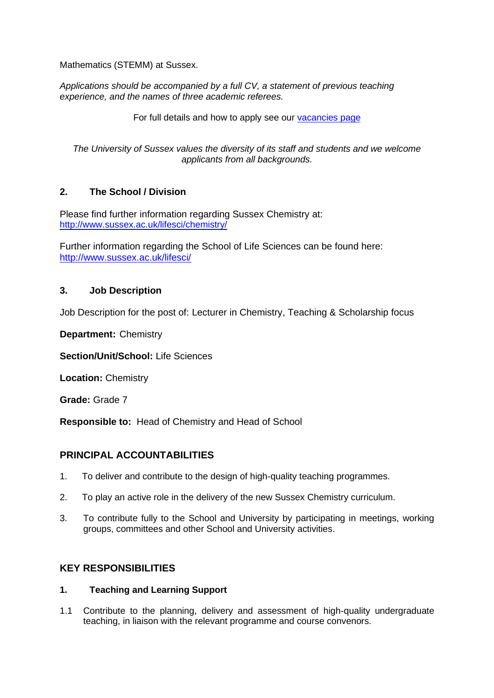Mathematics (STEMM) at Sussex.

*Applications should be accompanied by a full CV, a statement of previous teaching experience, and the names of three academic referees.* 

For full details and how to apply see our [vacancies page](http://www.sussex.ac.uk/about/jobs)

*The University of Sussex values the diversity of its staff and students and we welcome applicants from all backgrounds.*

# **2. The School / Division**

Please find further information regarding Sussex Chemistry at: <http://www.sussex.ac.uk/lifesci/chemistry/>

Further information regarding the School of Life Sciences can be found here: <http://www.sussex.ac.uk/lifesci/>

# **3. Job Description**

Job Description for the post of: Lecturer in Chemistry, Teaching & Scholarship focus

**Department:** Chemistry

**Section/Unit/School:** Life Sciences

**Location:** Chemistry

**Grade:** Grade 7

**Responsible to:** Head of Chemistry and Head of School

# **PRINCIPAL ACCOUNTABILITIES**

- 1. To deliver and contribute to the design of high-quality teaching programmes.
- 2. To play an active role in the delivery of the new Sussex Chemistry curriculum.
- 3. To contribute fully to the School and University by participating in meetings, working groups, committees and other School and University activities.

# **KEY RESPONSIBILITIES**

### **1. Teaching and Learning Support**

1.1 Contribute to the planning, delivery and assessment of high-quality undergraduate teaching, in liaison with the relevant programme and course convenors.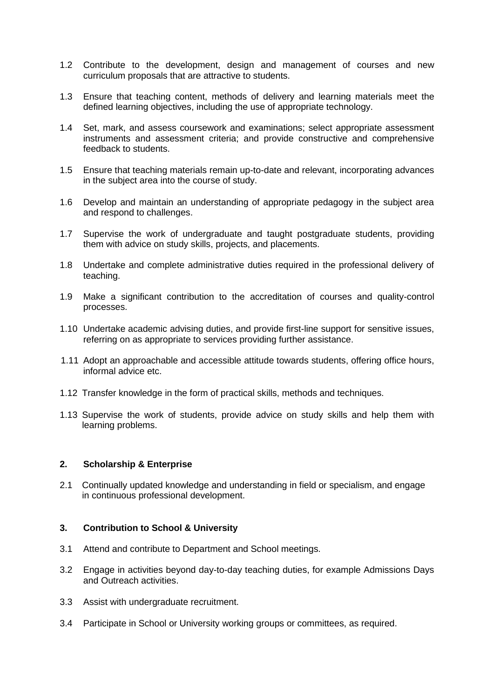- 1.2 Contribute to the development, design and management of courses and new curriculum proposals that are attractive to students.
- 1.3 Ensure that teaching content, methods of delivery and learning materials meet the defined learning objectives, including the use of appropriate technology.
- 1.4 Set, mark, and assess coursework and examinations; select appropriate assessment instruments and assessment criteria; and provide constructive and comprehensive feedback to students.
- 1.5 Ensure that teaching materials remain up-to-date and relevant, incorporating advances in the subject area into the course of study.
- 1.6 Develop and maintain an understanding of appropriate pedagogy in the subject area and respond to challenges.
- 1.7 Supervise the work of undergraduate and taught postgraduate students, providing them with advice on study skills, projects, and placements.
- 1.8 Undertake and complete administrative duties required in the professional delivery of teaching.
- 1.9 Make a significant contribution to the accreditation of courses and quality-control processes.
- 1.10 Undertake academic advising duties, and provide first-line support for sensitive issues, referring on as appropriate to services providing further assistance.
- 1.11 Adopt an approachable and accessible attitude towards students, offering office hours, informal advice etc.
- 1.12 Transfer knowledge in the form of practical skills, methods and techniques.
- 1.13 Supervise the work of students, provide advice on study skills and help them with learning problems.

#### **2. Scholarship & Enterprise**

2.1 Continually updated knowledge and understanding in field or specialism, and engage in continuous professional development.

### **3. Contribution to School & University**

- 3.1 Attend and contribute to Department and School meetings.
- 3.2 Engage in activities beyond day-to-day teaching duties, for example Admissions Days and Outreach activities.
- 3.3 Assist with undergraduate recruitment.
- 3.4 Participate in School or University working groups or committees, as required.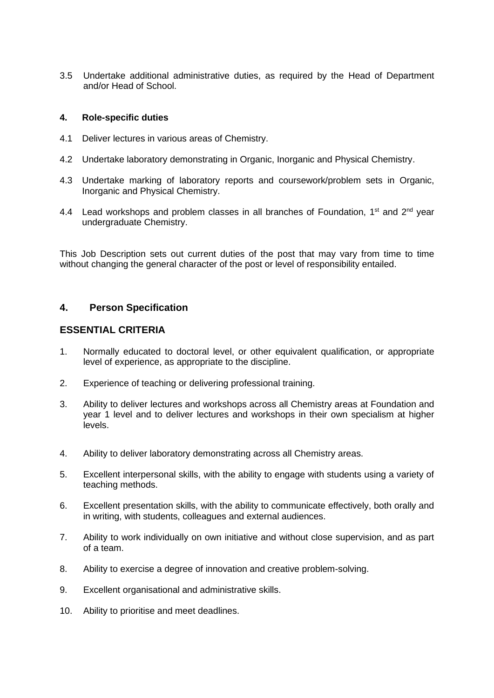3.5 Undertake additional administrative duties, as required by the Head of Department and/or Head of School.

### **4. Role-specific duties**

- 4.1 Deliver lectures in various areas of Chemistry.
- 4.2 Undertake laboratory demonstrating in Organic, Inorganic and Physical Chemistry.
- 4.3 Undertake marking of laboratory reports and coursework/problem sets in Organic, Inorganic and Physical Chemistry.
- 4.4 Lead workshops and problem classes in all branches of Foundation,  $1^{st}$  and  $2^{nd}$  year undergraduate Chemistry.

This Job Description sets out current duties of the post that may vary from time to time without changing the general character of the post or level of responsibility entailed.

### **4. Person Specification**

### **ESSENTIAL CRITERIA**

- 1. Normally educated to doctoral level, or other equivalent qualification, or appropriate level of experience, as appropriate to the discipline.
- 2. Experience of teaching or delivering professional training.
- 3. Ability to deliver lectures and workshops across all Chemistry areas at Foundation and year 1 level and to deliver lectures and workshops in their own specialism at higher levels.
- 4. Ability to deliver laboratory demonstrating across all Chemistry areas.
- 5. Excellent interpersonal skills, with the ability to engage with students using a variety of teaching methods.
- 6. Excellent presentation skills, with the ability to communicate effectively, both orally and in writing, with students, colleagues and external audiences.
- 7. Ability to work individually on own initiative and without close supervision, and as part of a team.
- 8. Ability to exercise a degree of innovation and creative problem-solving.
- 9. Excellent organisational and administrative skills.
- 10. Ability to prioritise and meet deadlines.